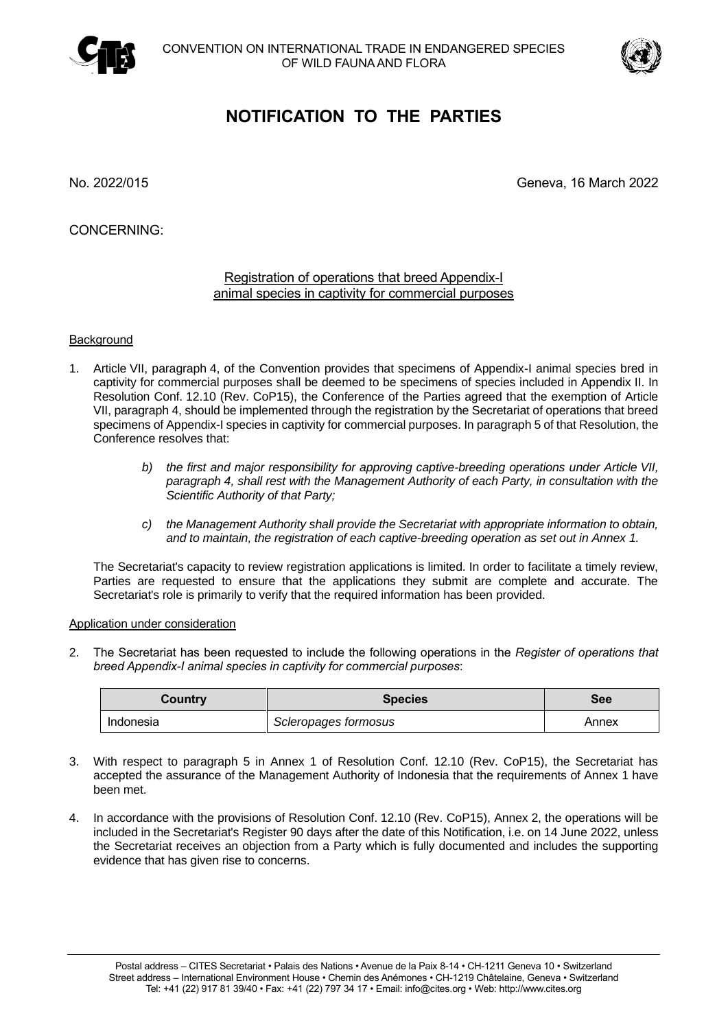



## **NOTIFICATION TO THE PARTIES**

No. 2022/015 Geneva, 16 March 2022

CONCERNING:

## Registration of operations that breed Appendix-I animal species in captivity for commercial purposes

## **Background**

- 1. Article VII, paragraph 4, of the Convention provides that specimens of Appendix-I animal species bred in captivity for commercial purposes shall be deemed to be specimens of species included in Appendix II. In Resolution Conf. 12.10 (Rev. CoP15), the Conference of the Parties agreed that the exemption of Article VII, paragraph 4, should be implemented through the registration by the Secretariat of operations that breed specimens of Appendix-I species in captivity for commercial purposes. In paragraph 5 of that Resolution, the Conference resolves that:
	- *b) the first and major responsibility for approving captive-breeding operations under Article VII, paragraph 4, shall rest with the Management Authority of each Party, in consultation with the Scientific Authority of that Party;*
	- *c) the Management Authority shall provide the Secretariat with appropriate information to obtain, and to maintain, the registration of each captive-breeding operation as set out in Annex 1.*

The Secretariat's capacity to review registration applications is limited. In order to facilitate a timely review, Parties are requested to ensure that the applications they submit are complete and accurate. The Secretariat's role is primarily to verify that the required information has been provided.

## Application under consideration

2. The Secretariat has been requested to include the following operations in the *Register of operations that breed Appendix-I animal species in captivity for commercial purposes*:

| Country   | <b>Species</b>       | <b>See</b> |
|-----------|----------------------|------------|
| Indonesia | Scleropages formosus | Annex      |

- 3. With respect to paragraph 5 in Annex 1 of Resolution Conf. 12.10 (Rev. CoP15), the Secretariat has accepted the assurance of the Management Authority of Indonesia that the requirements of Annex 1 have been met.
- 4. In accordance with the provisions of Resolution Conf. 12.10 (Rev. CoP15), Annex 2, the operations will be included in the Secretariat's Register 90 days after the date of this Notification, i.e. on 14 June 2022, unless the Secretariat receives an objection from a Party which is fully documented and includes the supporting evidence that has given rise to concerns.